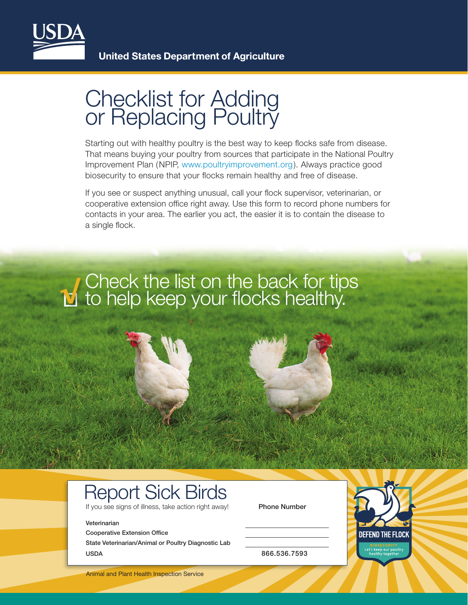

## Checklist for Adding or Replacing Poultry

Starting out with healthy poultry is the best way to keep flocks safe from disease. That means buying your poultry from sources that participate in the National Poultry Improvement Plan (NPIP, [www.poultryimprovement.org](http://www.poultryimprovement.org)). Always practice good biosecurity to ensure that your flocks remain healthy and free of disease.

If you see or suspect anything unusual, call your flock supervisor, veterinarian, or cooperative extension office right away. Use this form to record phone numbers for contacts in your area. The earlier you act, the easier it is to contain the disease to a single flock.



## Report Sick Birds

If you see signs of illness, take action right away! Phone Number

## Veterinarian

Cooperative Extension Office

State Veterinarian/Animal or Poultry Diagnostic Lab USDA 866.536.7593



Animal and Plant Health Inspection Service